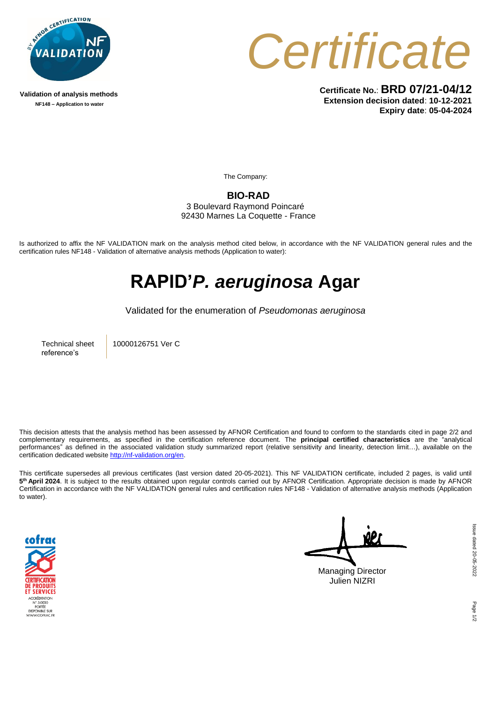

**Validation of analysis methods NF148 – Application to water**



**Certificate No.**: **BRD 07/21-04/12 Extension decision dated**: **10-12-2021 Expiry date**: **05-04-2024**

The Company:

**BIO-RAD** 3 Boulevard Raymond Poincaré

92430 Marnes La Coquette - France

Is authorized to affix the NF VALIDATION mark on the analysis method cited below, in accordance with the NF VALIDATION general rules and the certification rules NF148 - Validation of alternative analysis methods (Application to water):

## **RAPID'***P. aeruginosa* **Agar**

Validated for the enumeration of *Pseudomonas aeruginosa*

Technical sheet reference's

10000126751 Ver C

This decision attests that the analysis method has been assessed by AFNOR Certification and found to conform to the standards cited in page 2/2 and complementary requirements, as specified in the certification reference document. The **principal certified characteristics** are the "analytical performances" as defined in the associated validation study summarized report (relative sensitivity and linearity, detection limit…), available on the certification dedicated website [http://nf-validation.org/en.](http://nf-validation.org/en)

This certificate supersedes all previous certificates (last version dated 20-05-2021). This NF VALIDATION certificate, included 2 pages, is valid until **5 th April 2024**. It is subject to the results obtained upon regular controls carried out by AFNOR Certification. Appropriate decision is made by AFNOR Certification in accordance with the NF VALIDATION general rules and certification rules NF148 - Validation of alternative analysis methods (Application to water).



Managing Director Julien NIZRI

Page